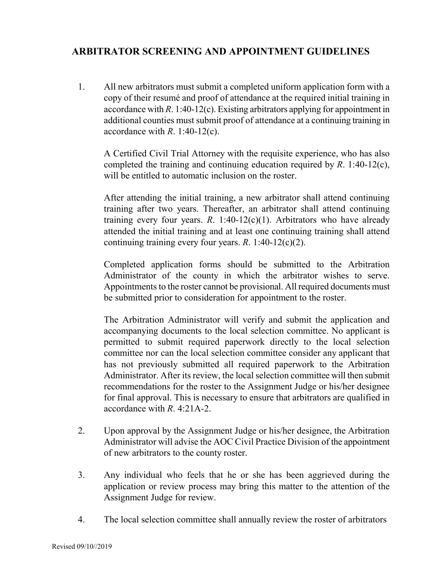## **ARBITRATOR SCREENING AND APPOINTMENT GUIDELINES**

1. All new arbitrators must submit a completed uniform application form with a copy of their resumé and proof of attendance at the required initial training in accordance with *R*. 1:40-12(c). Existing arbitrators applying for appointment in additional counties must submit proof of attendance at a continuing training in accordance with *R*. 1:40-12(c).

A Certified Civil Trial Attorney with the requisite experience, who has also completed the training and continuing education required by *R*. 1:40-12(c), will be entitled to automatic inclusion on the roster.

After attending the initial training, a new arbitrator shall attend continuing training after two years. Thereafter, an arbitrator shall attend continuing training every four years.  $R$ . 1:40-12(c)(1). Arbitrators who have already attended the initial training and at least one continuing training shall attend continuing training every four years. *R*. 1:40-12(c)(2).

Completed application forms should be submitted to the Arbitration Administrator of the county in which the arbitrator wishes to serve. Appointments to the roster cannot be provisional. All required documents must be submitted prior to consideration for appointment to the roster.

The Arbitration Administrator will verify and submit the application and accompanying documents to the local selection committee. No applicant is permitted to submit required paperwork directly to the local selection committee nor can the local selection committee consider any applicant that has not previously submitted all required paperwork to the Arbitration Administrator. After its review, the local selection committee will then submit recommendations for the roster to the Assignment Judge or his/her designee for final approval. This is necessary to ensure that arbitrators are qualified in accordance with *R*. 4:21A-2.

- 2. Upon approval by the Assignment Judge or his/her designee, the Arbitration Administrator will advise the AOC Civil Practice Division of the appointment of new arbitrators to the county roster.
- 3. Any individual who feels that he or she has been aggrieved during the application or review process may bring this matter to the attention of the Assignment Judge for review.
- 4. The local selection committee shall annually review the roster of arbitrators